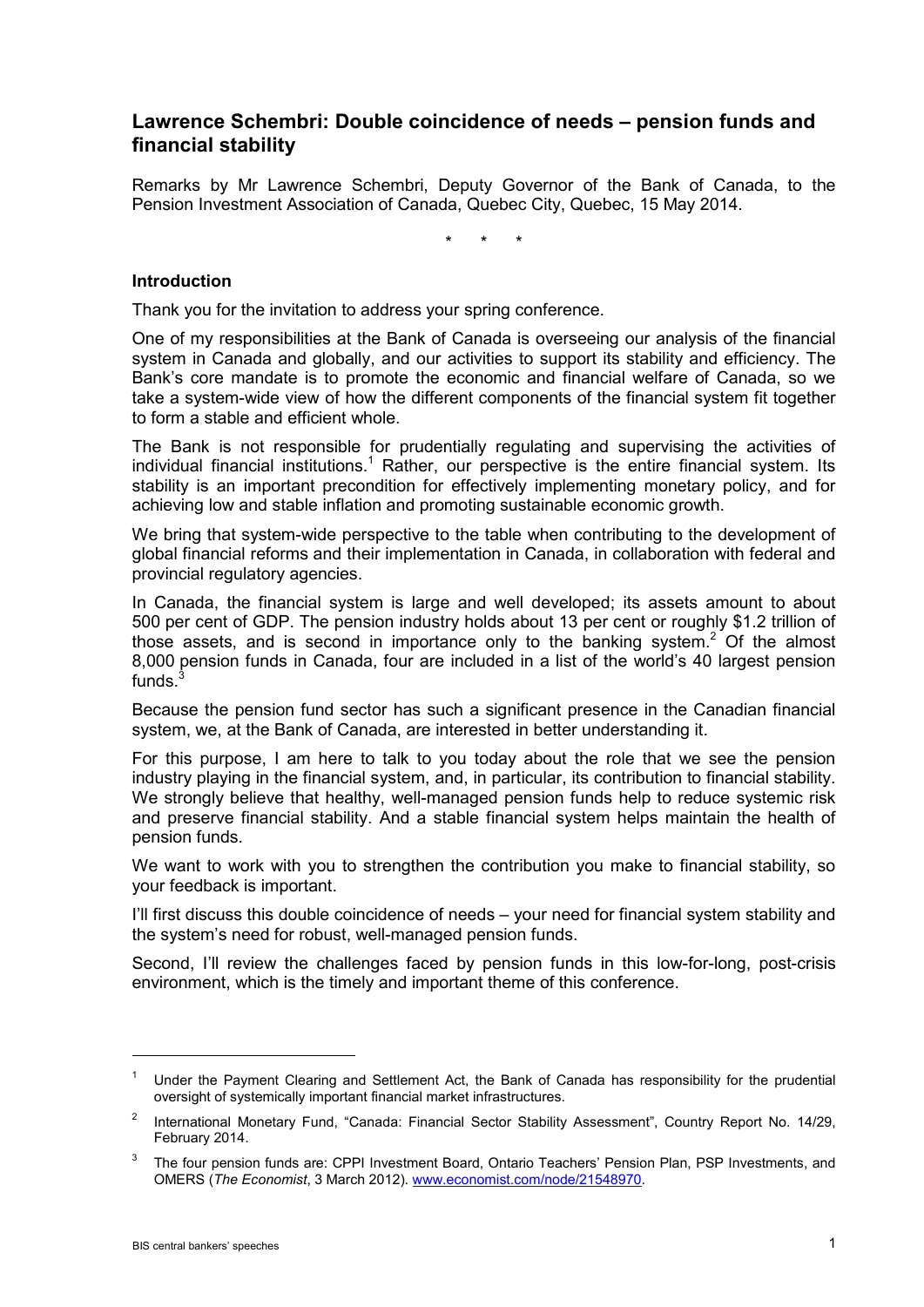# **Lawrence Schembri: Double coincidence of needs – pension funds and financial stability**

Remarks by Mr Lawrence Schembri, Deputy Governor of the Bank of Canada, to the Pension Investment Association of Canada, Quebec City, Quebec, 15 May 2014.

\* \* \*

#### **Introduction**

Thank you for the invitation to address your spring conference.

One of my responsibilities at the Bank of Canada is overseeing our analysis of the financial system in Canada and globally, and our activities to support its stability and efficiency. The Bank's core mandate is to promote the economic and financial welfare of Canada, so we take a system-wide view of how the different components of the financial system fit together to form a stable and efficient whole.

The Bank is not responsible for prudentially regulating and supervising the activities of individual financial institutions.<sup>1</sup> Rather, our perspective is the entire financial system. Its stability is an important precondition for effectively implementing monetary policy, and for achieving low and stable inflation and promoting sustainable economic growth.

We bring that system-wide perspective to the table when contributing to the development of global financial reforms and their implementation in Canada, in collaboration with federal and provincial regulatory agencies.

In Canada, the financial system is large and well developed; its assets amount to about 500 per cent of GDP. The pension industry holds about 13 per cent or roughly \$1.2 trillion of those assets, and is second in importance only to the banking system.<sup>2</sup> Of the almost 8,000 pension funds in Canada, four are included in a list of the world's 40 largest pension funds.<sup>3</sup>

Because the pension fund sector has such a significant presence in the Canadian financial system, we, at the Bank of Canada, are interested in better understanding it.

For this purpose, I am here to talk to you today about the role that we see the pension industry playing in the financial system, and, in particular, its contribution to financial stability. We strongly believe that healthy, well-managed pension funds help to reduce systemic risk and preserve financial stability. And a stable financial system helps maintain the health of pension funds.

We want to work with you to strengthen the contribution you make to financial stability, so your feedback is important.

I'll first discuss this double coincidence of needs – your need for financial system stability and the system's need for robust, well-managed pension funds.

Second, I'll review the challenges faced by pension funds in this low-for-long, post-crisis environment, which is the timely and important theme of this conference.

Under the Payment Clearing and Settlement Act, the Bank of Canada has responsibility for the prudential oversight of systemically important financial market infrastructures.

<sup>&</sup>lt;sup>2</sup> International Monetary Fund, "Canada: Financial Sector Stability Assessment", Country Report No. 14/29, February 2014.

<sup>&</sup>lt;sup>3</sup> The four pension funds are: CPPI Investment Board, Ontario Teachers' Pension Plan, PSP Investments, and OMERS (*The Economist*, 3 March 2012). [www.economist.com/node/21548970.](http://www.economist.com/node/21548970)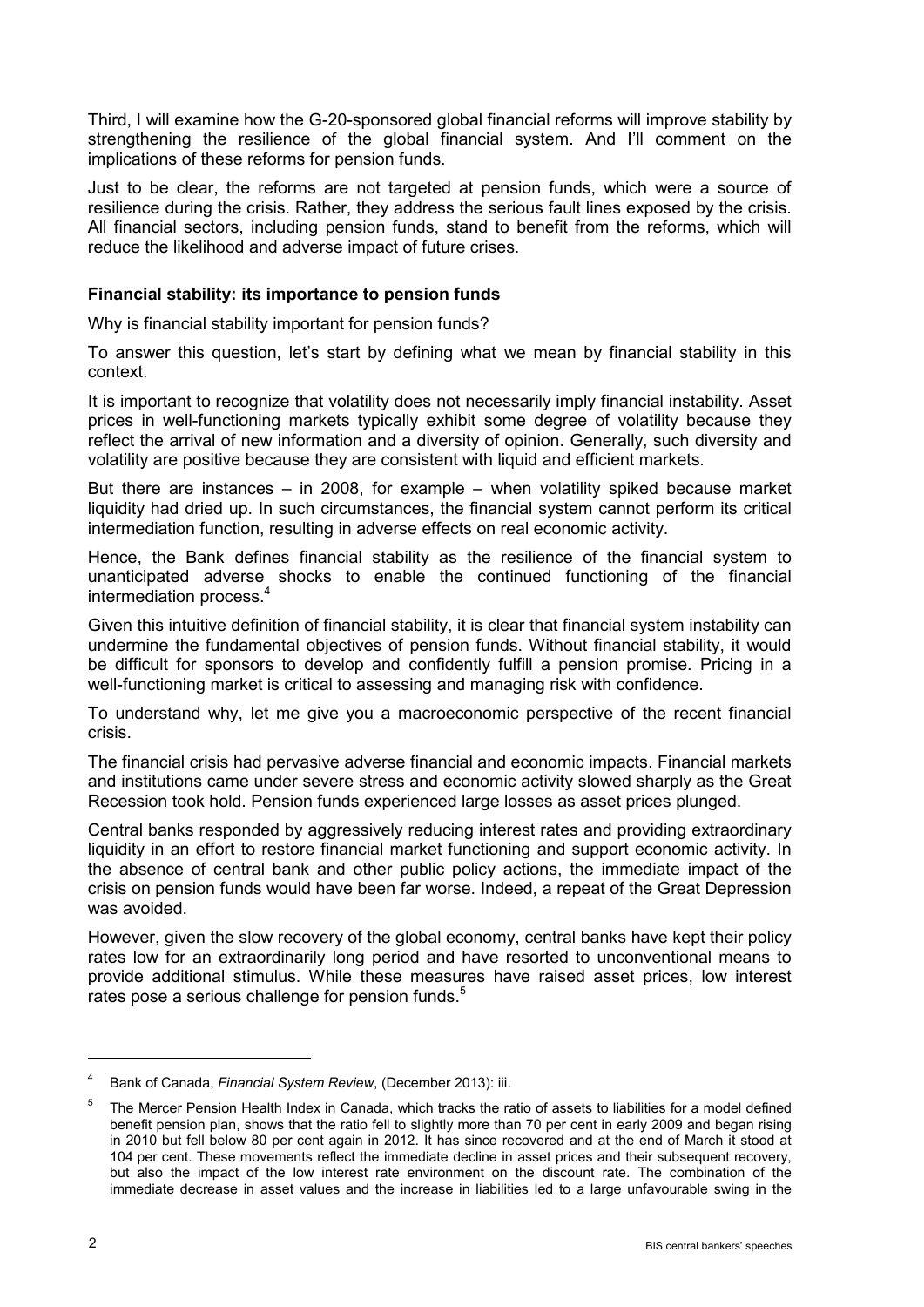Third, I will examine how the G-20-sponsored global financial reforms will improve stability by strengthening the resilience of the global financial system. And I'll comment on the implications of these reforms for pension funds.

Just to be clear, the reforms are not targeted at pension funds, which were a source of resilience during the crisis. Rather, they address the serious fault lines exposed by the crisis. All financial sectors, including pension funds, stand to benefit from the reforms, which will reduce the likelihood and adverse impact of future crises.

## **Financial stability: its importance to pension funds**

Why is financial stability important for pension funds?

To answer this question, let's start by defining what we mean by financial stability in this context.

It is important to recognize that volatility does not necessarily imply financial instability. Asset prices in well-functioning markets typically exhibit some degree of volatility because they reflect the arrival of new information and a diversity of opinion. Generally, such diversity and volatility are positive because they are consistent with liquid and efficient markets.

But there are instances – in 2008, for example – when volatility spiked because market liquidity had dried up. In such circumstances, the financial system cannot perform its critical intermediation function, resulting in adverse effects on real economic activity.

Hence, the Bank defines financial stability as the resilience of the financial system to unanticipated adverse shocks to enable the continued functioning of the financial intermediation process.4

Given this intuitive definition of financial stability, it is clear that financial system instability can undermine the fundamental objectives of pension funds. Without financial stability, it would be difficult for sponsors to develop and confidently fulfill a pension promise. Pricing in a well-functioning market is critical to assessing and managing risk with confidence.

To understand why, let me give you a macroeconomic perspective of the recent financial crisis.

The financial crisis had pervasive adverse financial and economic impacts. Financial markets and institutions came under severe stress and economic activity slowed sharply as the Great Recession took hold. Pension funds experienced large losses as asset prices plunged.

Central banks responded by aggressively reducing interest rates and providing extraordinary liquidity in an effort to restore financial market functioning and support economic activity. In the absence of central bank and other public policy actions, the immediate impact of the crisis on pension funds would have been far worse. Indeed, a repeat of the Great Depression was avoided.

However, given the slow recovery of the global economy, central banks have kept their policy rates low for an extraordinarily long period and have resorted to unconventional means to provide additional stimulus. While these measures have raised asset prices, low interest rates pose a serious challenge for pension funds.<sup>5</sup>

<sup>4</sup> Bank of Canada, *Financial System Review*, (December 2013): iii.

<sup>5</sup> The Mercer Pension Health Index in Canada, which tracks the ratio of assets to liabilities for a model defined benefit pension plan, shows that the ratio fell to slightly more than 70 per cent in early 2009 and began rising in 2010 but fell below 80 per cent again in 2012. It has since recovered and at the end of March it stood at 104 per cent. These movements reflect the immediate decline in asset prices and their subsequent recovery, but also the impact of the low interest rate environment on the discount rate. The combination of the immediate decrease in asset values and the increase in liabilities led to a large unfavourable swing in the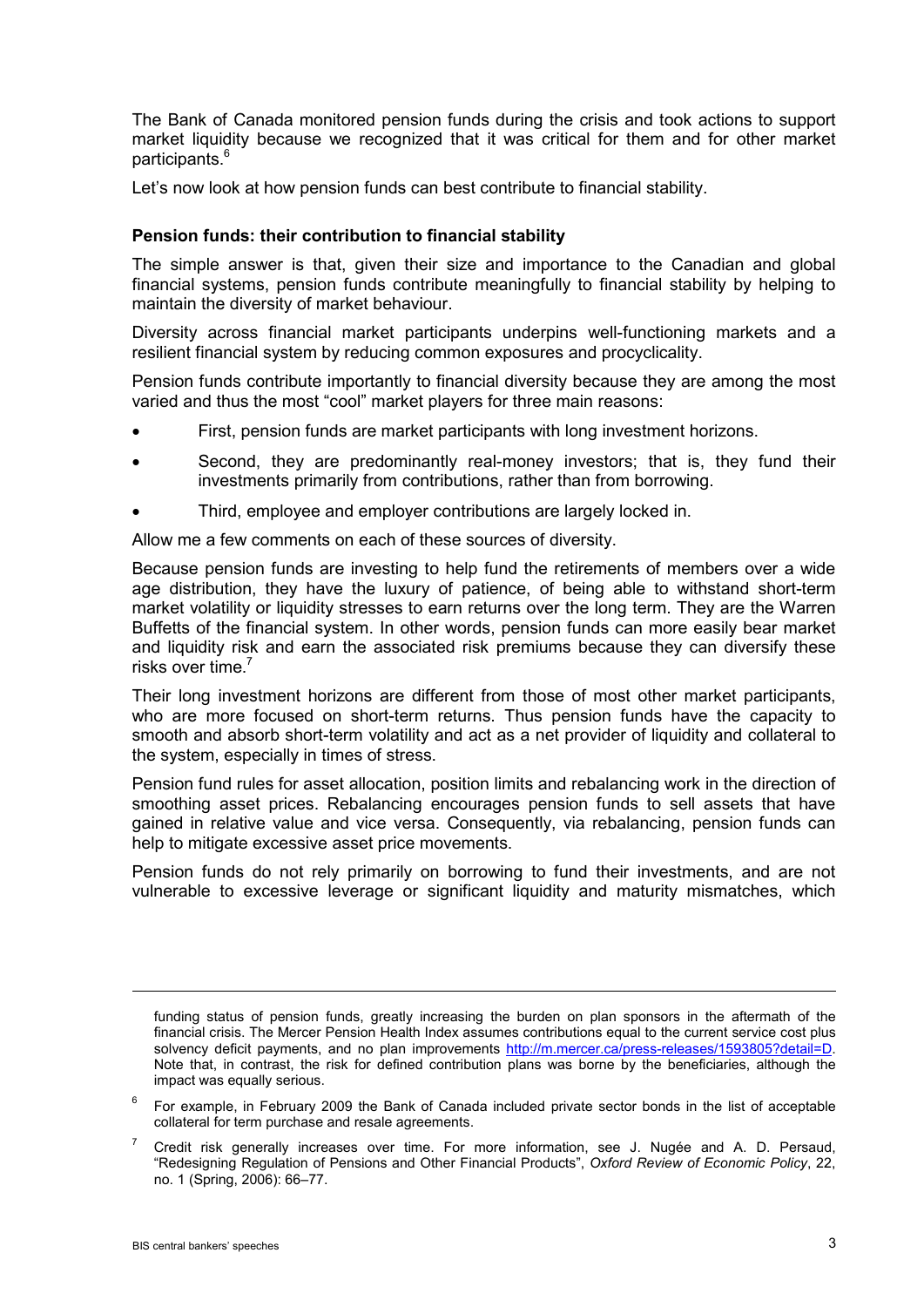The Bank of Canada monitored pension funds during the crisis and took actions to support market liquidity because we recognized that it was critical for them and for other market participants.<sup>6</sup>

Let's now look at how pension funds can best contribute to financial stability.

#### **Pension funds: their contribution to financial stability**

The simple answer is that, given their size and importance to the Canadian and global financial systems, pension funds contribute meaningfully to financial stability by helping to maintain the diversity of market behaviour.

Diversity across financial market participants underpins well-functioning markets and a resilient financial system by reducing common exposures and procyclicality.

Pension funds contribute importantly to financial diversity because they are among the most varied and thus the most "cool" market players for three main reasons:

- First, pension funds are market participants with long investment horizons.
- Second, they are predominantly real-money investors; that is, they fund their investments primarily from contributions, rather than from borrowing.
- Third, employee and employer contributions are largely locked in.

Allow me a few comments on each of these sources of diversity.

Because pension funds are investing to help fund the retirements of members over a wide age distribution, they have the luxury of patience, of being able to withstand short-term market volatility or liquidity stresses to earn returns over the long term. They are the Warren Buffetts of the financial system. In other words, pension funds can more easily bear market and liquidity risk and earn the associated risk premiums because they can diversify these risks over time.

Their long investment horizons are different from those of most other market participants, who are more focused on short-term returns. Thus pension funds have the capacity to smooth and absorb short-term volatility and act as a net provider of liquidity and collateral to the system, especially in times of stress.

Pension fund rules for asset allocation, position limits and rebalancing work in the direction of smoothing asset prices. Rebalancing encourages pension funds to sell assets that have gained in relative value and vice versa. Consequently, via rebalancing, pension funds can help to mitigate excessive asset price movements.

Pension funds do not rely primarily on borrowing to fund their investments, and are not vulnerable to excessive leverage or significant liquidity and maturity mismatches, which

funding status of pension funds, greatly increasing the burden on plan sponsors in the aftermath of the financial crisis. The Mercer Pension Health Index assumes contributions equal to the current service cost plus solvency deficit payments, and no plan improvements [http://m.mercer.ca/press-releases/1593805?detail=D.](http://m.mercer.ca/press-releases/1593805?detail=D) Note that, in contrast, the risk for defined contribution plans was borne by the beneficiaries, although the impact was equally serious.

 $6$  For example, in February 2009 the Bank of Canada included private sector bonds in the list of acceptable collateral for term purchase and resale agreements.

<sup>7</sup> Credit risk generally increases over time. For more information, see J. Nugée and A. D. Persaud, "Redesigning Regulation of Pensions and Other Financial Products", *Oxford Review of Economic Policy*, 22, no. 1 (Spring, 2006): 66–77.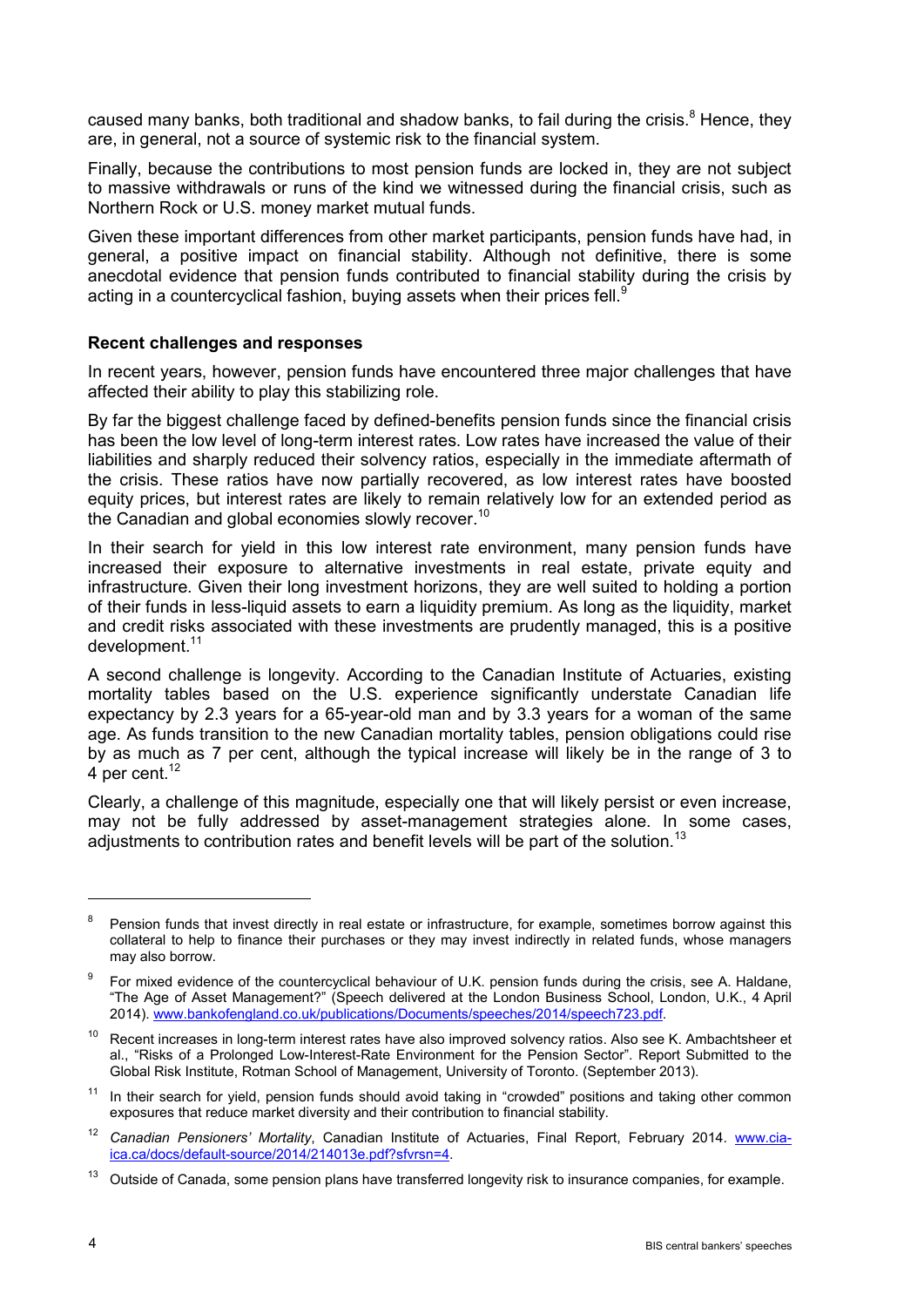caused many banks, both traditional and shadow banks, to fail during the crisis.<sup>8</sup> Hence, they are, in general, not a source of systemic risk to the financial system.

Finally, because the contributions to most pension funds are locked in, they are not subject to massive withdrawals or runs of the kind we witnessed during the financial crisis, such as Northern Rock or U.S. money market mutual funds.

Given these important differences from other market participants, pension funds have had, in general, a positive impact on financial stability. Although not definitive, there is some anecdotal evidence that pension funds contributed to financial stability during the crisis by acting in a countercyclical fashion, buying assets when their prices fell.<sup>9</sup>

#### **Recent challenges and responses**

In recent years, however, pension funds have encountered three major challenges that have affected their ability to play this stabilizing role.

By far the biggest challenge faced by defined-benefits pension funds since the financial crisis has been the low level of long-term interest rates. Low rates have increased the value of their liabilities and sharply reduced their solvency ratios, especially in the immediate aftermath of the crisis. These ratios have now partially recovered, as low interest rates have boosted equity prices, but interest rates are likely to remain relatively low for an extended period as the Canadian and global economies slowly recover. $10$ 

In their search for yield in this low interest rate environment, many pension funds have increased their exposure to alternative investments in real estate, private equity and infrastructure. Given their long investment horizons, they are well suited to holding a portion of their funds in less-liquid assets to earn a liquidity premium. As long as the liquidity, market and credit risks associated with these investments are prudently managed, this is a positive development.<sup>11</sup>

A second challenge is longevity. According to the Canadian Institute of Actuaries, existing mortality tables based on the U.S. experience significantly understate Canadian life expectancy by 2.3 years for a 65-year-old man and by 3.3 years for a woman of the same age. As funds transition to the new Canadian mortality tables, pension obligations could rise by as much as 7 per cent, although the typical increase will likely be in the range of 3 to 4 per cent. $12$ 

Clearly, a challenge of this magnitude, especially one that will likely persist or even increase, may not be fully addressed by asset-management strategies alone. In some cases, adjustments to contribution rates and benefit levels will be part of the solution.<sup>13</sup>

<sup>&</sup>lt;sup>8</sup> Pension funds that invest directly in real estate or infrastructure, for example, sometimes borrow against this collateral to help to finance their purchases or they may invest indirectly in related funds, whose managers may also borrow.

<sup>9</sup> For mixed evidence of the countercyclical behaviour of U.K. pension funds during the crisis, see A. Haldane, "The Age of Asset Management?" (Speech delivered at the London Business School, London, U.K., 4 April 2014). [www.bankofengland.co.uk/publications/Documents/speeches/2014/speech723.pdf.](http://www.bankofengland.co.uk/publications/Documents/speeches/2014/speech723.pdf)

<sup>&</sup>lt;sup>10</sup> Recent increases in long-term interest rates have also improved solvency ratios. Also see K. Ambachtsheer et al., "Risks of a Prolonged Low-Interest-Rate Environment for the Pension Sector". Report Submitted to the Global Risk Institute, Rotman School of Management, University of Toronto. (September 2013).

 $11$  In their search for yield, pension funds should avoid taking in "crowded" positions and taking other common exposures that reduce market diversity and their contribution to financial stability.

<sup>12</sup> *Canadian Pensioners' Mortality*, Canadian Institute of Actuaries, Final Report, February 2014. [www.cia](http://www.cia-ica.ca/docs/default-source/2014/214013e.pdf?sfvrsn=4)[ica.ca/docs/default-source/2014/214013e.pdf?sfvrsn=4.](http://www.cia-ica.ca/docs/default-source/2014/214013e.pdf?sfvrsn=4)

<sup>&</sup>lt;sup>13</sup> Outside of Canada, some pension plans have transferred longevity risk to insurance companies, for example.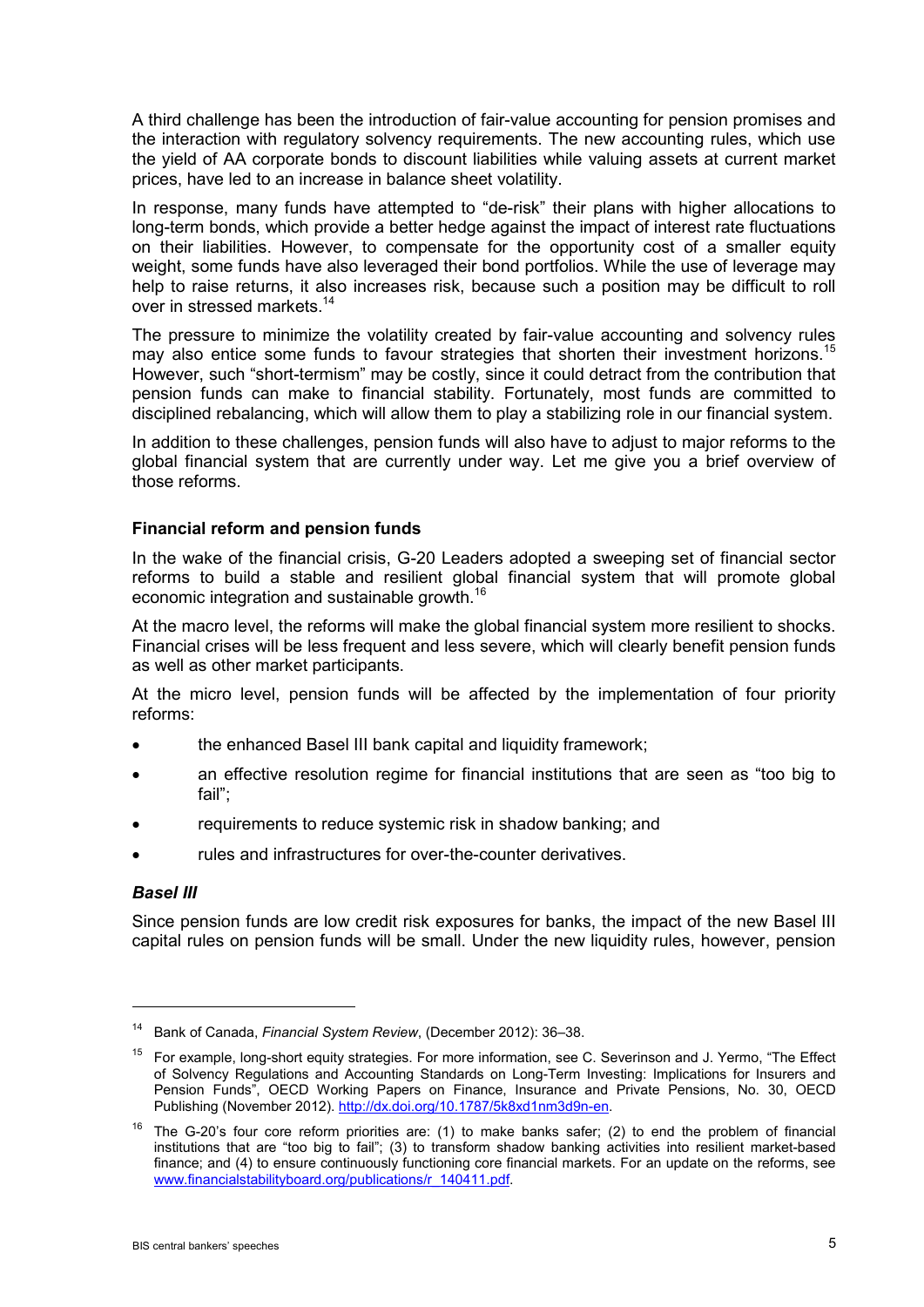A third challenge has been the introduction of fair-value accounting for pension promises and the interaction with regulatory solvency requirements. The new accounting rules, which use the yield of AA corporate bonds to discount liabilities while valuing assets at current market prices, have led to an increase in balance sheet volatility.

In response, many funds have attempted to "de-risk" their plans with higher allocations to long-term bonds, which provide a better hedge against the impact of interest rate fluctuations on their liabilities. However, to compensate for the opportunity cost of a smaller equity weight, some funds have also leveraged their bond portfolios. While the use of leverage may help to raise returns, it also increases risk, because such a position may be difficult to roll over in stressed markets.<sup>14</sup>

The pressure to minimize the volatility created by fair-value accounting and solvency rules may also entice some funds to favour strategies that shorten their investment horizons.<sup>15</sup> However, such "short-termism" may be costly, since it could detract from the contribution that pension funds can make to financial stability. Fortunately, most funds are committed to disciplined rebalancing, which will allow them to play a stabilizing role in our financial system.

In addition to these challenges, pension funds will also have to adjust to major reforms to the global financial system that are currently under way. Let me give you a brief overview of those reforms.

## **Financial reform and pension funds**

In the wake of the financial crisis, G-20 Leaders adopted a sweeping set of financial sector reforms to build a stable and resilient global financial system that will promote global economic integration and sustainable growth.<sup>16</sup>

At the macro level, the reforms will make the global financial system more resilient to shocks. Financial crises will be less frequent and less severe, which will clearly benefit pension funds as well as other market participants.

At the micro level, pension funds will be affected by the implementation of four priority reforms:

- the enhanced Basel III bank capital and liquidity framework;
- an effective resolution regime for financial institutions that are seen as "too big to fail";
- requirements to reduce systemic risk in shadow banking; and
- rules and infrastructures for over-the-counter derivatives.

## *Basel III*

-

Since pension funds are low credit risk exposures for banks, the impact of the new Basel III capital rules on pension funds will be small. Under the new liquidity rules, however, pension

<sup>14</sup> Bank of Canada, *Financial System Review*, (December 2012): 36–38.

<sup>15</sup> For example, long-short equity strategies. For more information, see C. Severinson and J. Yermo, "The Effect of Solvency Regulations and Accounting Standards on Long-Term Investing: Implications for Insurers and Pension Funds", OECD Working Papers on Finance, Insurance and Private Pensions, No. 30, OECD Publishing (November 2012). [http://dx.doi.org/10.1787/5k8xd1nm3d9n-en.](http://dx.doi.org/10.1787/5k8xd1nm3d9n-en)

<sup>&</sup>lt;sup>16</sup> The G-20's four core reform priorities are: (1) to make banks safer; (2) to end the problem of financial institutions that are "too big to fail"; (3) to transform shadow banking activities into resilient market-based finance; and (4) to ensure continuously functioning core financial markets. For an update on the reforms, see [www.financialstabilityboard.org/publications/r\\_140411.pdf.](http://www.financialstabilityboard.org/publications/r_140411.pdf)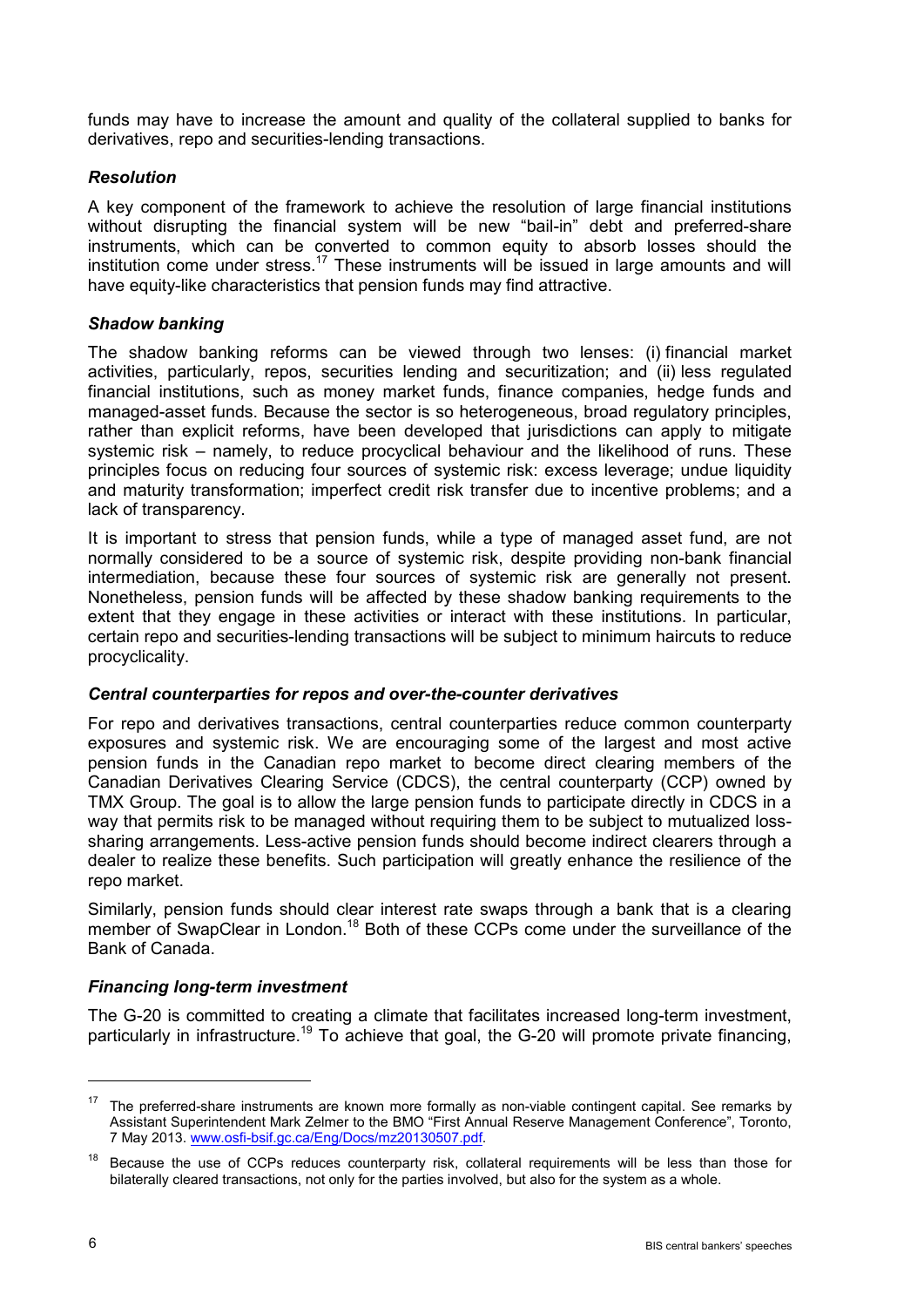funds may have to increase the amount and quality of the collateral supplied to banks for derivatives, repo and securities-lending transactions.

## *Resolution*

A key component of the framework to achieve the resolution of large financial institutions without disrupting the financial system will be new "bail-in" debt and preferred-share instruments, which can be converted to common equity to absorb losses should the institution come under stress.<sup>17</sup> These instruments will be issued in large amounts and will have equity-like characteristics that pension funds may find attractive.

## *Shadow banking*

The shadow banking reforms can be viewed through two lenses: (i) financial market activities, particularly, repos, securities lending and securitization; and (ii) less regulated financial institutions, such as money market funds, finance companies, hedge funds and managed-asset funds. Because the sector is so heterogeneous, broad regulatory principles, rather than explicit reforms, have been developed that jurisdictions can apply to mitigate systemic risk – namely, to reduce procyclical behaviour and the likelihood of runs. These principles focus on reducing four sources of systemic risk: excess leverage; undue liquidity and maturity transformation; imperfect credit risk transfer due to incentive problems; and a lack of transparency.

It is important to stress that pension funds, while a type of managed asset fund, are not normally considered to be a source of systemic risk, despite providing non-bank financial intermediation, because these four sources of systemic risk are generally not present. Nonetheless, pension funds will be affected by these shadow banking requirements to the extent that they engage in these activities or interact with these institutions. In particular, certain repo and securities-lending transactions will be subject to minimum haircuts to reduce procyclicality.

## *Central counterparties for repos and over-the-counter derivatives*

For repo and derivatives transactions, central counterparties reduce common counterparty exposures and systemic risk. We are encouraging some of the largest and most active pension funds in the Canadian repo market to become direct clearing members of the Canadian Derivatives Clearing Service (CDCS), the central counterparty (CCP) owned by TMX Group. The goal is to allow the large pension funds to participate directly in CDCS in a way that permits risk to be managed without requiring them to be subject to mutualized losssharing arrangements. Less-active pension funds should become indirect clearers through a dealer to realize these benefits. Such participation will greatly enhance the resilience of the repo market.

Similarly, pension funds should clear interest rate swaps through a bank that is a clearing member of SwapClear in London.<sup>18</sup> Both of these CCPs come under the surveillance of the Bank of Canada.

## *Financing long-term investment*

The G-20 is committed to creating a climate that facilitates increased long-term investment, particularly in infrastructure.<sup>19</sup> To achieve that goal, the G-20 will promote private financing,

 $17$  The preferred-share instruments are known more formally as non-viable contingent capital. See remarks by Assistant Superintendent Mark Zelmer to the BMO "First Annual Reserve Management Conference", Toronto, 7 May 2013. [www.osfi-bsif.gc.ca/Eng/Docs/mz20130507.pdf.](http://www.osfi-bsif.gc.ca/Eng/Docs/mz20130507.pdf)

<sup>&</sup>lt;sup>18</sup> Because the use of CCPs reduces counterparty risk, collateral requirements will be less than those for bilaterally cleared transactions, not only for the parties involved, but also for the system as a whole.